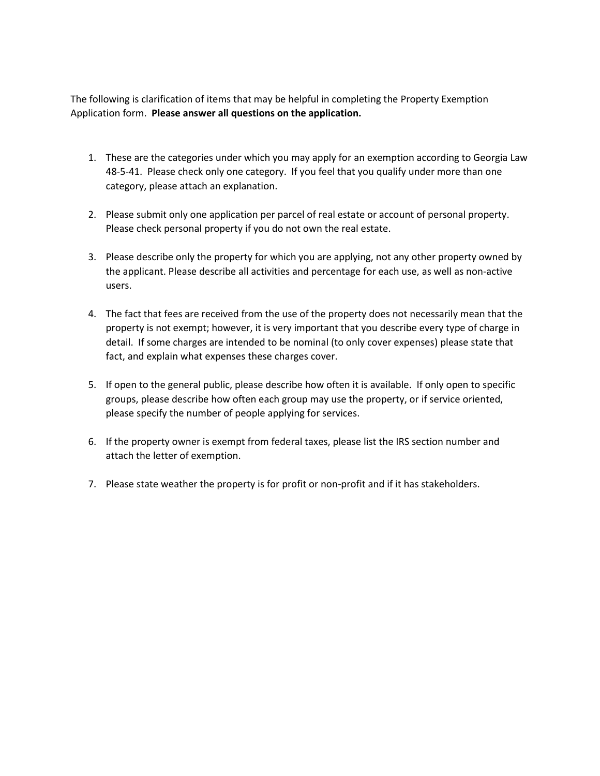The following is clarification of items that may be helpful in completing the Property Exemption Application form. **Please answer all questions on the application.**

- 1. These are the categories under which you may apply for an exemption according to Georgia Law 48-5-41. Please check only one category. If you feel that you qualify under more than one category, please attach an explanation.
- 2. Please submit only one application per parcel of real estate or account of personal property. Please check personal property if you do not own the real estate.
- 3. Please describe only the property for which you are applying, not any other property owned by the applicant. Please describe all activities and percentage for each use, as well as non-active users.
- 4. The fact that fees are received from the use of the property does not necessarily mean that the property is not exempt; however, it is very important that you describe every type of charge in detail. If some charges are intended to be nominal (to only cover expenses) please state that fact, and explain what expenses these charges cover.
- 5. If open to the general public, please describe how often it is available. If only open to specific groups, please describe how often each group may use the property, or if service oriented, please specify the number of people applying for services.
- 6. If the property owner is exempt from federal taxes, please list the IRS section number and attach the letter of exemption.
- 7. Please state weather the property is for profit or non-profit and if it has stakeholders.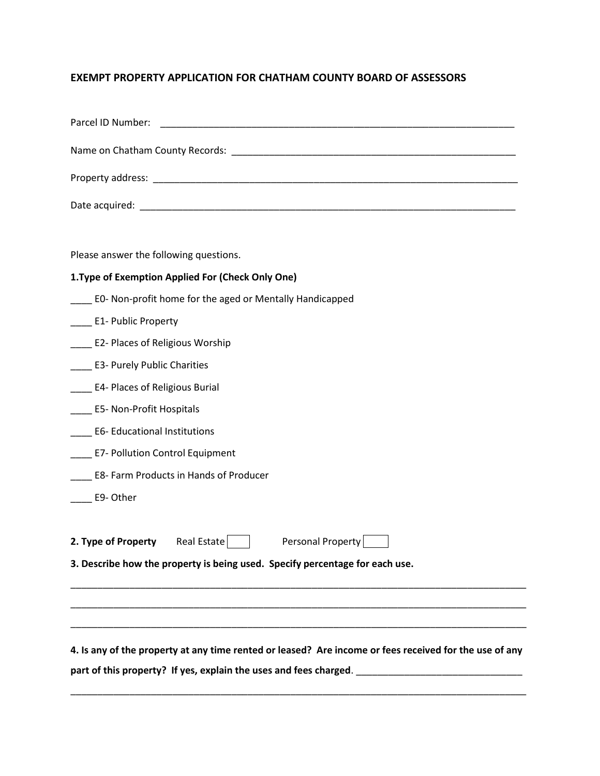## **EXEMPT PROPERTY APPLICATION FOR CHATHAM COUNTY BOARD OF ASSESSORS**

| Parcel ID Number:<br><u> 1989 - Johann John Stone, mars eta biztanleria (h. 1989).</u>                 |
|--------------------------------------------------------------------------------------------------------|
|                                                                                                        |
|                                                                                                        |
|                                                                                                        |
|                                                                                                        |
| Please answer the following questions.                                                                 |
| 1. Type of Exemption Applied For (Check Only One)                                                      |
| ___ EO- Non-profit home for the aged or Mentally Handicapped                                           |
| ____ E1- Public Property                                                                               |
| <b>E2- Places of Religious Worship</b>                                                                 |
| ____ E3- Purely Public Charities                                                                       |
| <b>E4- Places of Religious Burial</b>                                                                  |
| _____ E5- Non-Profit Hospitals                                                                         |
| <b>E6-Educational Institutions</b>                                                                     |
| <b>E7- Pollution Control Equipment</b>                                                                 |
| E8- Farm Products in Hands of Producer                                                                 |
| E9-Other                                                                                               |
|                                                                                                        |
| 2. Type of Property Real Estate<br>Personal Property                                                   |
| 3. Describe how the property is being used. Specify percentage for each use.                           |
|                                                                                                        |
|                                                                                                        |
|                                                                                                        |
| 4. Is any of the property at any time rented or leased? Are income or fees received for the use of any |
| part of this property? If yes, explain the uses and fees charged.                                      |

\_\_\_\_\_\_\_\_\_\_\_\_\_\_\_\_\_\_\_\_\_\_\_\_\_\_\_\_\_\_\_\_\_\_\_\_\_\_\_\_\_\_\_\_\_\_\_\_\_\_\_\_\_\_\_\_\_\_\_\_\_\_\_\_\_\_\_\_\_\_\_\_\_\_\_\_\_\_\_\_\_\_\_\_\_